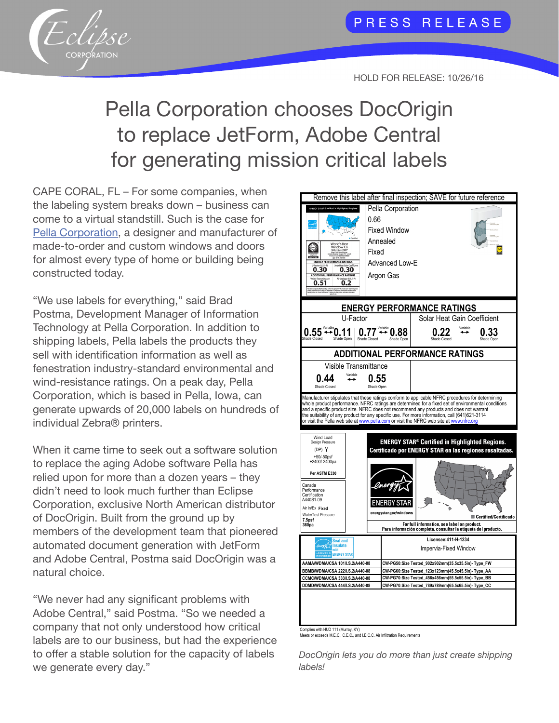

## HOLD FOR RELEASE: 10/26/16

## Pella Corporation chooses DocOrigin to replace JetForm, Adobe Central for generating mission critical labels

CAPE CORAL, FL – For some companies, when the labeling system breaks down – business can come to a virtual standstill. Such is the case for [Pella Corporation](http://www.pella.com/), a designer and manufacturer of made-to-order and custom windows and doors for almost every type of home or building being constructed today.

"We use labels for everything," said Brad Postma, Development Manager of Information Technology at Pella Corporation. In addition to shipping labels, Pella labels the products they sell with identification information as well as fenestration industry-standard environmental and wind-resistance ratings. On a peak day, Pella Corporation, which is based in Pella, Iowa, can generate upwards of 20,000 labels on hundreds of individual Zebra® printers.

When it came time to seek out a software solution to replace the aging Adobe software Pella has relied upon for more than a dozen years – they didn't need to look much further than Eclipse Corporation, exclusive North American distributor of DocOrigin. Built from the ground up by members of the development team that pioneered automated document generation with JetForm and Adobe Central, Postma said DocOrigin was a natural choice.

"We never had any significant problems with Adobe Central," said Postma. "So we needed a company that not only understood how critical labels are to our business, but had the experience to offer a stable solution for the capacity of labels we generate every day."



Complies with HUD 111 (Murray, KY) Meets or exceeds M.E.C., C.E.C., and I.E.C.C. Air Infiltration Requirements

*DocOrigin lets you do more than just create shipping labels!*